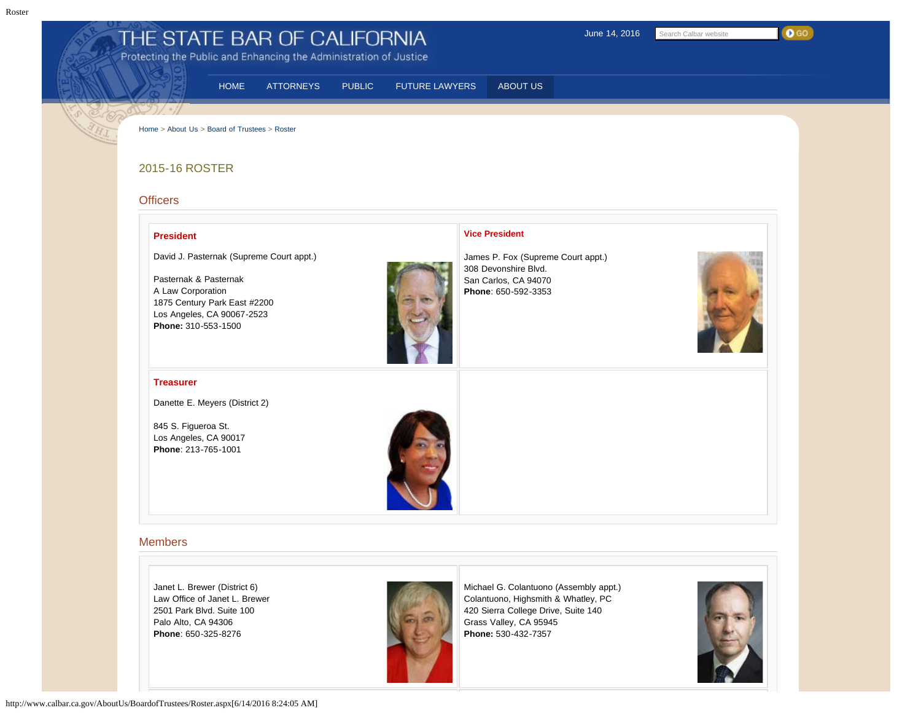## THE STATE BAR OF CALIFORNIA

a shekara

<span id="page-0-0"></span>

|                                                               | <b>PUBLIC</b><br><b>FUTURE LAWYERS</b> | ABOUT US                                                                      |
|---------------------------------------------------------------|----------------------------------------|-------------------------------------------------------------------------------|
|                                                               |                                        |                                                                               |
| Home > About Us > Board of Trustees > Roster                  |                                        |                                                                               |
|                                                               |                                        |                                                                               |
| 2015-16 ROSTER                                                |                                        |                                                                               |
| <b>Officers</b>                                               |                                        |                                                                               |
|                                                               |                                        |                                                                               |
| <b>President</b>                                              |                                        | <b>Vice President</b>                                                         |
| David J. Pasternak (Supreme Court appt.)                      |                                        | James P. Fox (Supreme Court appt.)                                            |
| Pasternak & Pasternak                                         |                                        | 308 Devonshire Blvd.<br>San Carlos, CA 94070                                  |
| A Law Corporation<br>1875 Century Park East #2200             |                                        | Phone: 650-592-3353                                                           |
| Los Angeles, CA 90067-2523<br>Phone: 310-553-1500             |                                        |                                                                               |
|                                                               |                                        |                                                                               |
| <b>Treasurer</b>                                              |                                        |                                                                               |
| Danette E. Meyers (District 2)                                |                                        |                                                                               |
| 845 S. Figueroa St.                                           |                                        |                                                                               |
| Los Angeles, CA 90017<br>Phone: 213-765-1001                  |                                        |                                                                               |
|                                                               |                                        |                                                                               |
|                                                               |                                        |                                                                               |
|                                                               |                                        |                                                                               |
|                                                               |                                        |                                                                               |
| <b>Members</b>                                                |                                        |                                                                               |
|                                                               |                                        |                                                                               |
| Janet L. Brewer (District 6)<br>Law Office of Janet L. Brewer |                                        | Michael G. Colantuono (Assembly appt.)<br>Colantuono, Highsmith & Whatley, PC |
| 2501 Park Blvd. Suite 100<br>Palo Alto, CA 94306              |                                        | 420 Sierra College Drive, Suite 140<br>Grass Valley, CA 95945                 |
| Phone: 650-325-8276                                           |                                        | Phone: 530-432-7357                                                           |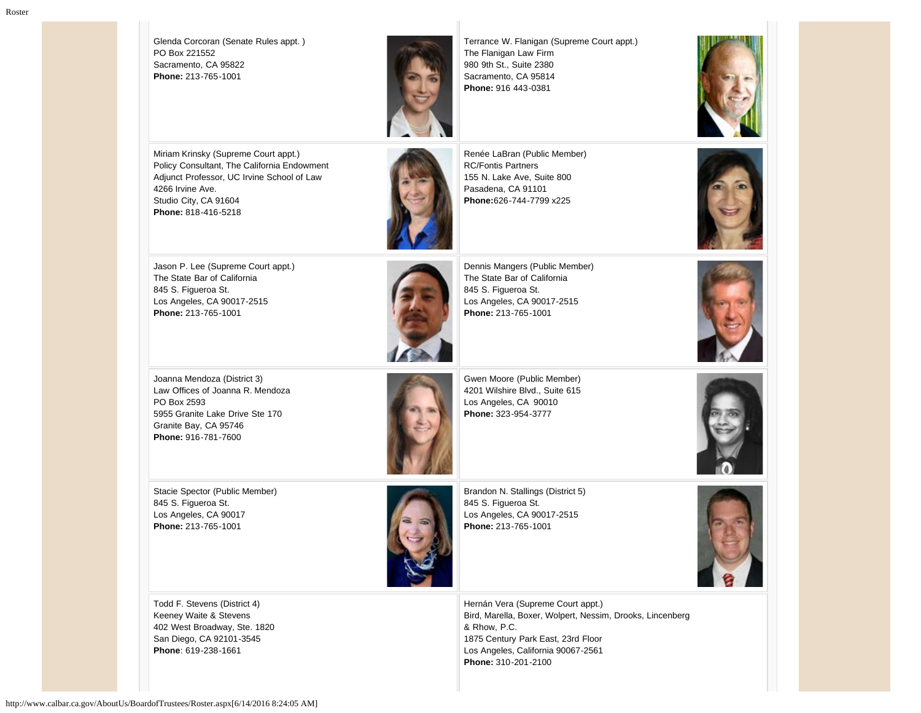Glenda Corcoran (Senate Rules appt. ) PO Box 221552 Sacramento, CA 95822 **Phone:** 213-765-1001

Miriam Krinsky (Supreme Court appt.) Policy Consultant, The California Endowment Adjunct Professor, UC Irvine School of Law 4266 Irvine Ave. Studio City, CA 91604 **Phone:** 818-416-5218

Jason P. Lee (Supreme Court appt.) The State Bar of California 845 S. Figueroa St. Los Angeles, CA 90017-2515 **Phone:** 213-765-1001

Joanna Mendoza (District 3) Law Offices of Joanna R. Mendoza PO Box 2593 5955 Granite Lake Drive Ste 170 Granite Bay, CA 95746 **Phone:** 916-781-7600

Stacie Spector (Public Member) 845 S. Figueroa St. Los Angeles, CA 90017 **Phone:** 213-765-1001

Todd F. Stevens (District 4) Keeney Waite & Stevens 402 West Broadway, Ste. 1820 San Diego, CA 92101-3545 **Phone**: 619-238-1661

Terrance W. Flanigan (Supreme Court appt.) The Flanigan Law Firm 980 9th St., Suite 2380 Sacramento, CA 95814 **Phone:** 916 443-0381







Gwen Moore (Public Member) 4201 Wilshire Blvd., Suite 615 Los Angeles, CA 90010 **Phone:** 323-954-3777

Brandon N. Stallings (District 5)

845 S. Figueroa St. Los Angeles, CA 90017-2515 **Phone:** 213-765-1001







Hernán Vera (Supreme Court appt.) Bird, Marella, Boxer, Wolpert, Nessim, Drooks, Lincenberg & Rhow, P.C. 1875 Century Park East, 23rd Floor Los Angeles, California 90067-2561 **Phone:** 310-201-2100